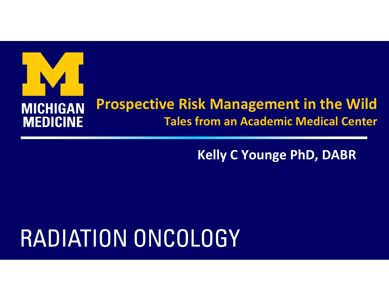## **Prospective Risk Management in the Wild MICHIGAN MEDICINE Tales from an Academic Medical Center**

#### **Kelly C Younge PhD, DABR**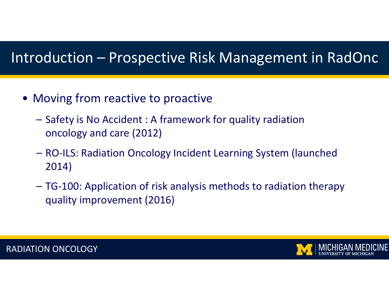- Moving from reactive to proactive
	- Safety is No Accident : A framework for quality radiation oncology and care (2012)
	- RO‐ILS: Radiation Oncology Incident Learning System (launched 2014)
	- TG‐100: Application of risk analysis methods to radiation therapy quality improvement (2016)



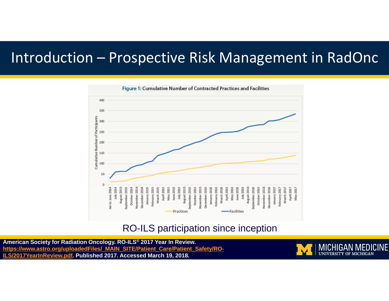

#### RO-ILS participation since inception

https://www.astro.org/uploadedFiles/\_MAIN\_SITE/Patient\_Care/Patient\_Safety/RO-**American Society for Radiation Oncology. RO-ILS® 2017 Year In Review. ILS/2017YearInReview.pdf. Published 2017. Accessed March 19, 2018.** 

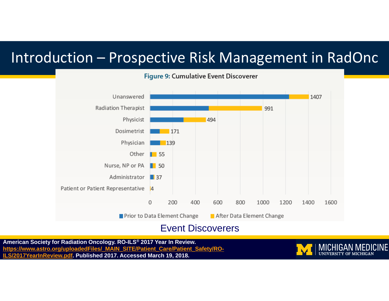

#### Figure 9: Cumulative Event Discoverer

Event Discoverers

https://www.astro.org/uploadedFiles/\_MAIN\_SITE/Patient\_Care/Patient\_Safety/RO-**American Society for Radiation Oncology. RO-ILS® 2017 Year In Review. EW.pdf. Published 2017. Accessed March 19, 2018.** 

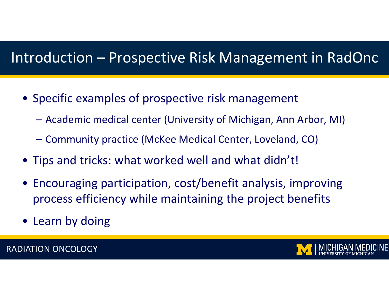- Specific examples of prospective risk management
	- Academic medical center (University of Michigan, Ann Arbor, MI)
	- Community practice (McKee Medical Center, Loveland, CO)
- Tips and tricks: what worked well and what didn't!
- Encouraging participation, cost/benefit analysis, improving process efficiency while maintaining the project benefits
- Learn by doing

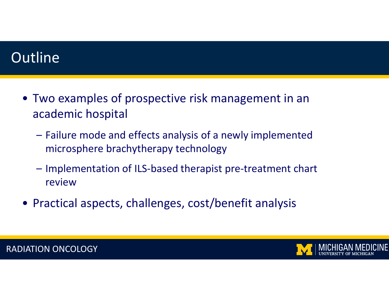#### **Outline**

- Two examples of prospective risk management in an academic hospital
	- Failure mode and effects analysis of <sup>a</sup> newly implemented microsphere brachytherapy technology
	- Implementation of ILS‐based therapist pre‐treatment chart review
- Practical aspects, challenges, cost/benefit analysis

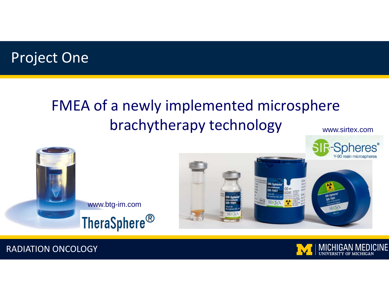

## FMEA of <sup>a</sup> newly implemented microsphere brachytherapy technology

www.sirtex.com



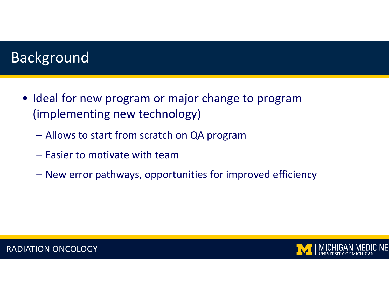#### Background

- Ideal for new program or major change to program (implementing new technology)
	- Allows to start from scratch on QA program
	- Easier to motivate with team
	- New error pathways, opportunities for improved efficiency



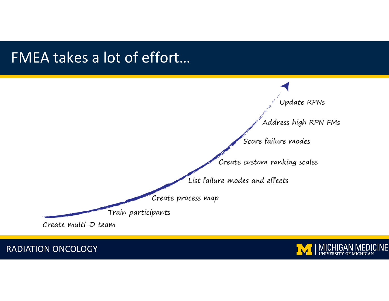#### FMEA takes <sup>a</sup> lot of effort…



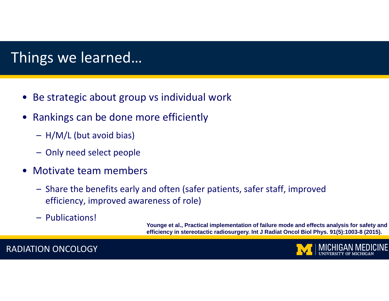#### Things we learned…

- •Be strategic about group vs individual work
- • Rankings can be done more efficiently
	- H/M/L (but avoid bias)
	- Only need select people
- $\bullet$  Motivate team members
	- Share the benefits early and often (safer patients, safer staff, improved efficiency, improved awareness of role)
	- Publications!

**Younge et al., Practical implementation of failure mode and effects analysis for safety and efficiency in stereotactic radiosurgery. Int J Radiat Oncol Biol Phys. 91(5):1003-8 (2015).**

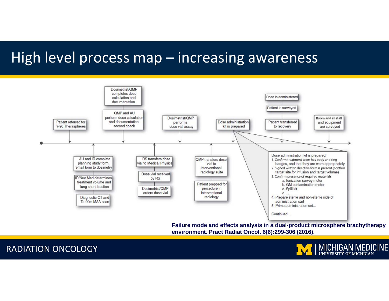#### High level process map – increasing awareness



**environment. Pract Radiat Oncol. 6(6):299-306 (2016).**



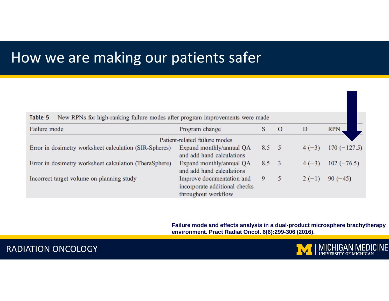#### How we are making our patients safer

| Table 5<br>New RPNs for high-ranking failure modes after program improvements were made |                                                                                   |              |              |         |               |
|-----------------------------------------------------------------------------------------|-----------------------------------------------------------------------------------|--------------|--------------|---------|---------------|
| Failure mode                                                                            | Program change                                                                    | S            | $\mathbf{O}$ | D       | <b>RPN</b>    |
|                                                                                         | Patient-related failure modes                                                     |              |              |         |               |
| Error in dosimetry worksheet calculation (SIR-Spheres)                                  | Expand monthly/annual QA<br>and add hand calculations                             | $8.5\quad 5$ |              | $4(-3)$ | $170(-127.5)$ |
| Error in dosimetry worksheet calculation (TheraSphere)                                  | Expand monthly/annual QA<br>and add hand calculations                             | $8.5\quad 3$ |              | $4(-3)$ | $102 (-76.5)$ |
| Incorrect target volume on planning study                                               | Improve documentation and<br>incorporate additional checks<br>throughout workflow | 9            | 5            | $2(-1)$ | $90(-45)$     |

**Failure mode and effects analysis in a dual-product microsphere brachytherapy environment. Pract Radiat Oncol. 6(6):299-306 (2016).**



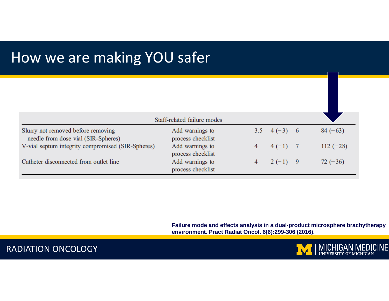#### How we are making YOU safer

|                                                                           | Staff-related failure modes          |   |               |            |
|---------------------------------------------------------------------------|--------------------------------------|---|---------------|------------|
| Slurry not removed before removing<br>needle from dose vial (SIR-Spheres) | Add warnings to<br>process checklist |   | 3.5 $4(-3)$ 6 | $84 (-63)$ |
| V-vial septum integrity compromised (SIR-Spheres)                         | Add warnings to<br>process checklist | 4 | $4(-1)$ 7     | $112(-28)$ |
| Catheter disconnected from outlet line                                    | Add warnings to<br>process checklist | 4 | $2(-1)$ 9     | $72(-36)$  |

**Failure mode and effects analysis in a dual-product microsphere brachytherapy environment. Pract Radiat Oncol. 6(6):299-306 (2016).**

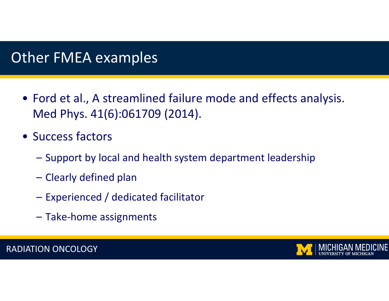#### Other FMEA examples

- Ford et al., A streamlined failure mode and effects analysis. Med Phys. 41(6):061709 (2014).
- Success factors
	- Support by local and health system department leadership
	- Clearly defined plan
	- Experienced / dedicated facilitator
	- Take‐home assignments

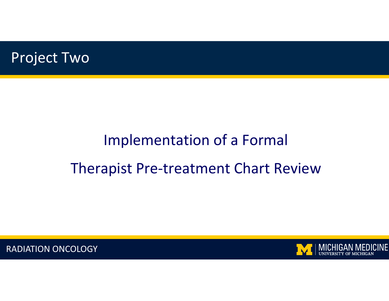

## Implementation of <sup>a</sup> Formal Therapist Pre‐treatment Chart Review

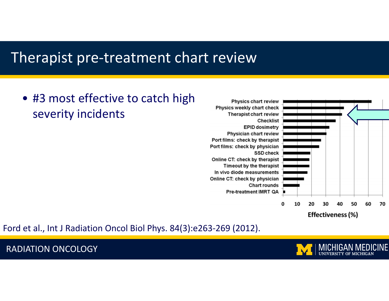#### Therapist pre‐treatment chart review

#### • #3 most effective to catch high severity incidents



Ford et al., Int J Radiation Oncol Biol Phys. 84(3):e263‐269 (2012).

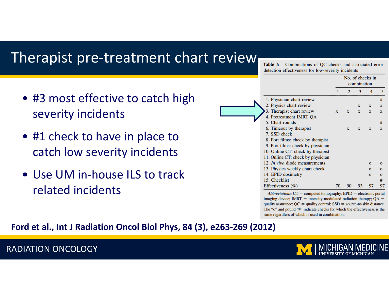#### Therapist pre‐treatment chart review

- #3 most effective to catch high severity incidents
- #1 check to have in place to catch low severity incidents
- Use UM in-house ILS to track related incidents

|                                                    | <b>Table 4</b> Combinations of OC checks and associated error |  |  |  |  |  |  |
|----------------------------------------------------|---------------------------------------------------------------|--|--|--|--|--|--|
| detection effectiveness for low-severity incidents |                                                               |  |  |  |  |  |  |

No. of checks in

|                                       | combination  |              |              |              |              |
|---------------------------------------|--------------|--------------|--------------|--------------|--------------|
|                                       | 1            | 2            | 3            | 4            |              |
| 1. Physician chart review             |              |              |              |              | #            |
| 2. Physics chart review               |              |              | X            | X            | X            |
| 3. Therapist chart review             | $\mathbf{x}$ | $\mathbf{x}$ | X            | $\mathbf x$  | $\mathbf x$  |
| 4. Pretreatment IMRT OA               |              |              |              |              |              |
| 5. Chart rounds                       |              |              |              |              | #            |
| 6. Timeout by therapist               |              | $\mathbf{x}$ | $\mathbf{x}$ | X            | X            |
| 7. SSD check                          |              |              |              |              |              |
| 8. Port films: check by therapist     |              |              |              |              |              |
| 9. Port films: check by physician     |              |              |              |              |              |
| 10. Online CT: check by therapist     |              |              |              |              |              |
| 11. Online CT: check by physician     |              |              |              |              |              |
| 12. <i>In vivo</i> diode measurements |              |              |              | $\Omega$     | $\mathbf{o}$ |
| 13. Physics weekly chart check        |              |              |              | $\Omega$     | $\Omega$     |
| 14. EPID dosimetry                    |              |              |              | $\mathbf{o}$ | $\mathbf{o}$ |
| 15. Checklist                         |              |              |              |              | #            |
| Effectiveness $(\% )$                 | 70           | 90           | 93           | 97           | 9            |

Abbreviations:  $CT =$  computed tomography;  $EPID =$  electronic portal imaging device; IMRT = intensity modulated radiation therapy;  $QA =$ quality assurance;  $QC =$  quality control;  $SSD =$  source-to-skin distance. The "o" and pound "#" indicate checks for which the effectiveness is the same regardless of which is used in combination.

#### **Ford et al., Int J Radiation Oncol Biol Phys, 84 (3), e263‐269 (2012)**

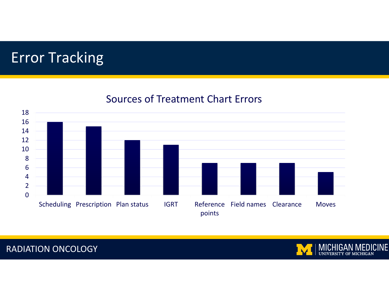#### Error Tracking



#### Sources of Treatment Chart Errors



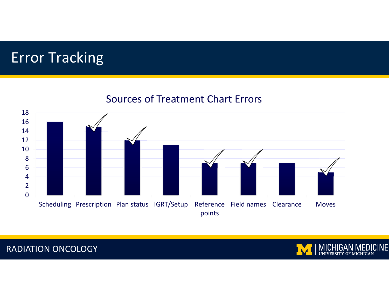#### Error Tracking





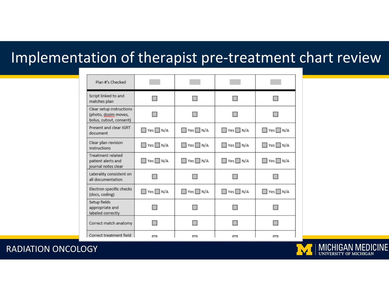## Implementation of therapist pre‐treatment chart review

| Plan #'s Checked                                                            |                          |                       |                       |                       |
|-----------------------------------------------------------------------------|--------------------------|-----------------------|-----------------------|-----------------------|
| Script linked to and<br>matches plan                                        |                          |                       |                       |                       |
| Clear setup instructions<br>(photo, dosim moves,<br>bolus, cutout, consent) |                          |                       |                       |                       |
| Present and clear IGRT<br>document                                          | $\Box$ Yes $\Box$ N/A    | $\Box$ Yes $\Box$ N/A | $\Box$ Yes $\Box$ N/A | $\Box$ Yes $\Box$ N/A |
| Clear plan revision<br>instructions                                         | $\Box$ Yes $\Box$ N/A    | $\Box$ Yes $\Box$ N/A | $\Box$ Yes $\Box$ N/A | $\Box$ Yes $\Box$ N/A |
| <b>Treatment related</b><br>patient alerts and<br>journal notes clear       | $\Box$ Yes $\Box$ N/A    | $\Box$ Yes $\Box$ N/A | $\Box$ Yes $\Box$ N/A | $\Box$ Yes $\Box$ N/A |
| Laterality consistent on<br>all documentation                               |                          |                       |                       |                       |
| Electron specific checks<br>(docs, coding)                                  | $\Box$ Yes $\Box$ N/A    | $\Box$ Yes $\Box$ N/A | $\Box$ Yes $\Box$ N/A | $\Box$ Yes $\Box$ N/A |
| Setup fields<br>appropriate and<br>labeled correctly                        |                          |                       |                       |                       |
| Correct match anatomy                                                       |                          | $\Box$                |                       |                       |
| Correct treatment field                                                     | $\overline{\phantom{0}}$ | $\Box$                | $\Box$                | ▭                     |

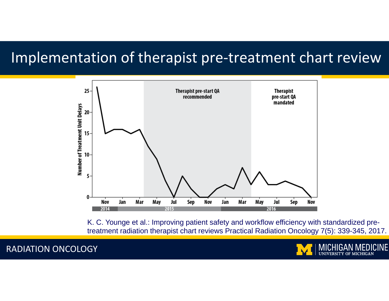#### Implementation of therapist pre‐treatment chart review



K. C. Younge et al.: Improving patient safety and workflow efficiency with standardized pretreatment radiation therapist chart reviews Practical Radiation Oncology 7(5): 339-345, 2017.

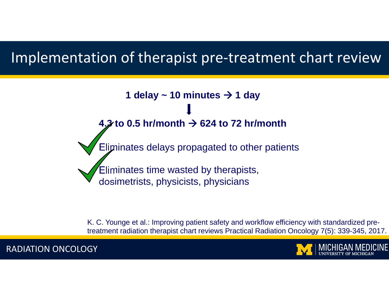#### Implementation of therapist pre‐treatment chart review

**1 delay**  $\sim$  **10 minutes**  $\rightarrow$  **1 day 4.3 to 0.5 hr/month 624 to 72 hr/month** Eliminates delays propagated to other patients Eliminates time wasted by therapists, dosimetrists, physicists, physicians

K. C. Younge et al.: Improving patient safety and workflow efficiency with standardized pretreatment radiation therapist chart reviews Practical Radiation Oncology 7(5): 339-345, 2017.

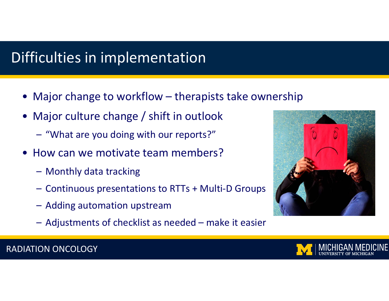### Difficulties in implementation

- •Major change to workflow – therapists take ownership
- • Major culture change / shift in outlook
	- "What are you doing with our reports?"
- • How can we motivate team members?
	- Monthly data tracking
	- Continuous presentations to RTTs <sup>+</sup> Multi‐D Groups
	- Adding automation upstream
	- Adjustments of checklist as needed make it easier